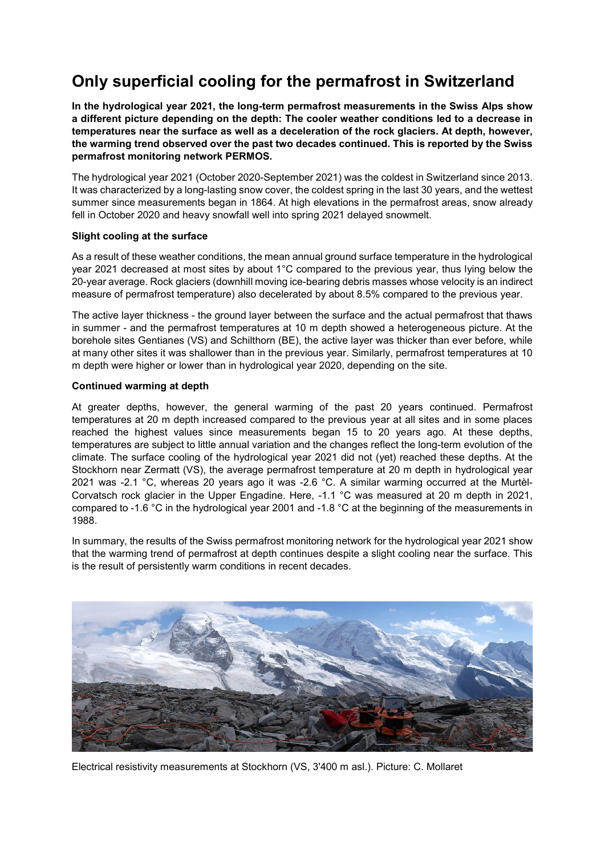# **Only superficial cooling for the permafrost in Switzerland**

**In the hydrological year 2021, the long-term permafrost measurements in the Swiss Alps show a different picture depending on the depth: The cooler weather conditions led to a decrease in temperatures near the surface as well as a deceleration of the rock glaciers. At depth, however, the warming trend observed over the past two decades continued. This is reported by the Swiss permafrost monitoring network PERMOS.** 

The hydrological year 2021 (October 2020-September 2021) was the coldest in Switzerland since 2013. It was characterized by a long-lasting snow cover, the coldest spring in the last 30 years, and the wettest summer since measurements began in 1864. At high elevations in the permafrost areas, snow already fell in October 2020 and heavy snowfall well into spring 2021 delayed snowmelt.

## **Slight cooling at the surface**

As a result of these weather conditions, the mean annual ground surface temperature in the hydrological year 2021 decreased at most sites by about 1°C compared to the previous year, thus lying below the 20-year average. Rock glaciers (downhill moving ice-bearing debris masses whose velocity is an indirect measure of permafrost temperature) also decelerated by about 8.5% compared to the previous year.

The active layer thickness - the ground layer between the surface and the actual permafrost that thaws in summer - and the permafrost temperatures at 10 m depth showed a heterogeneous picture. At the borehole sites Gentianes (VS) and Schilthorn (BE), the active layer was thicker than ever before, while at many other sites it was shallower than in the previous year. Similarly, permafrost temperatures at 10 m depth were higher or lower than in hydrological year 2020, depending on the site.

## **Continued warming at depth**

At greater depths, however, the general warming of the past 20 years continued. Permafrost temperatures at 20 m depth increased compared to the previous year at all sites and in some places reached the highest values since measurements began 15 to 20 years ago. At these depths, temperatures are subject to little annual variation and the changes reflect the long-term evolution of the climate. The surface cooling of the hydrological year 2021 did not (yet) reached these depths. At the Stockhorn near Zermatt (VS), the average permafrost temperature at 20 m depth in hydrological year 2021 was -2.1 °C, whereas 20 years ago it was -2.6 °C. A similar warming occurred at the Murtèl-Corvatsch rock glacier in the Upper Engadine. Here, -1.1 °C was measured at 20 m depth in 2021, compared to -1.6 °C in the hydrological year 2001 and -1.8 °C at the beginning of the measurements in 1988.

In summary, the results of the Swiss permafrost monitoring network for the hydrological year 2021 show that the warming trend of permafrost at depth continues despite a slight cooling near the surface. This is the result of persistently warm conditions in recent decades.



Electrical resistivity measurements at Stockhorn (VS, 3'400 m asl.). Picture: C. Mollaret